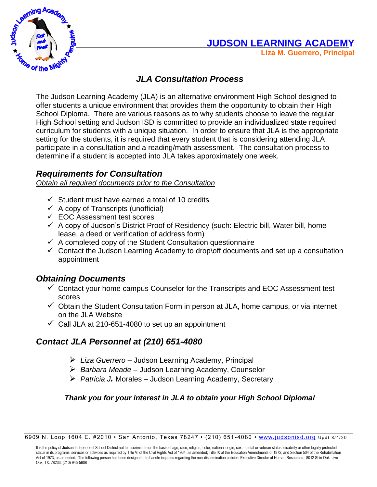

# **JUDSON LEARNING ACADEMY**

**Liza M. Guerrero, Principal** 

## *JLA Consultation Process*

The Judson Learning Academy (JLA) is an alternative environment High School designed to offer students a unique environment that provides them the opportunity to obtain their High School Diploma. There are various reasons as to why students choose to leave the regular High School setting and Judson ISD is committed to provide an individualized state required curriculum for students with a unique situation. In order to ensure that JLA is the appropriate setting for the students, it is required that every student that is considering attending JLA participate in a consultation and a reading/math assessment. The consultation process to determine if a student is accepted into JLA takes approximately one week.

## *Requirements for Consultation*

*Obtain all required documents prior to the Consultation*

- $\checkmark$  Student must have earned a total of 10 credits
- $\checkmark$  A copy of Transcripts (unofficial)
- ✓ EOC Assessment test scores
- $\checkmark$  A copy of Judson's District Proof of Residency (such: Electric bill, Water bill, home lease, a deed or verification of address form)
- $\checkmark$  A completed copy of the Student Consultation questionnaire
- $\checkmark$  Contact the Judson Learning Academy to drop\off documents and set up a consultation appointment

## *Obtaining Documents*

- $\checkmark$  Contact your home campus Counselor for the Transcripts and EOC Assessment test scores
- $\checkmark$  Obtain the Student Consultation Form in person at JLA, home campus, or via internet on the JLA Website
- $\checkmark$  Call JLA at 210-651-4080 to set up an appointment

## *Contact JLA Personnel at (210) 651-4080*

- ➢ *Liza Guerrero* Judson Learning Academy, Principal
- ➢ *Barbara Meade* Judson Learning Academy, Counselor
- ➢ *Patricia J.* Morales Judson Learning Academy, Secretary

#### *Thank you for your interest in JLA to obtain your High School Diploma!*

<sup>6909</sup> N. Loop 1604 E. #2010 • San Antonio, Texas 78247 • (210) 651-4080 • [www.judsonisd.org](http://www.judsonisd.org/) Updt 8/4/20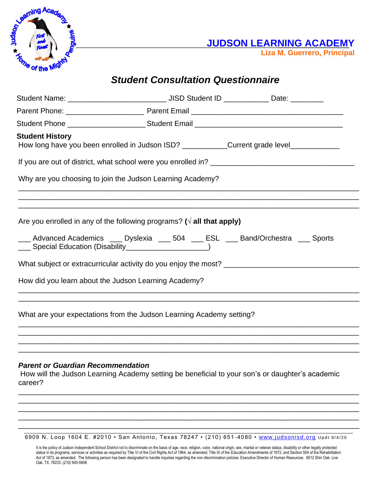

 **JUDSON LEARNING ACADEMY**

**Liza M. Guerrero, Principal** 

# *Student Consultation Questionnaire*

|                                                                                                                                                                               | Student Phone <b>Commission Commission</b> Student Email <b>Commission Commission Commission</b>                                                                                                                                |  |  |  |  |  |  |  |
|-------------------------------------------------------------------------------------------------------------------------------------------------------------------------------|---------------------------------------------------------------------------------------------------------------------------------------------------------------------------------------------------------------------------------|--|--|--|--|--|--|--|
| <b>Student History</b>                                                                                                                                                        | How long have you been enrolled in Judson ISD? __________Current grade level___________                                                                                                                                         |  |  |  |  |  |  |  |
|                                                                                                                                                                               |                                                                                                                                                                                                                                 |  |  |  |  |  |  |  |
| Why are you choosing to join the Judson Learning Academy?                                                                                                                     |                                                                                                                                                                                                                                 |  |  |  |  |  |  |  |
|                                                                                                                                                                               | Are you enrolled in any of the following programs? ( $\sqrt{ }$ all that apply)<br>___ Advanced Academics ___ Dyslexia ___ 504 ___ ESL ___ Band/Orchestra ___ Sports<br>___ Special Education (Disability_____________________) |  |  |  |  |  |  |  |
| What subject or extracurricular activity do you enjoy the most?                                                                                                               |                                                                                                                                                                                                                                 |  |  |  |  |  |  |  |
| How did you learn about the Judson Learning Academy?<br><u> 1989 - Johann Harry Harry Harry Harry Harry Harry Harry Harry Harry Harry Harry Harry Harry Harry Harry Harry</u> |                                                                                                                                                                                                                                 |  |  |  |  |  |  |  |
| What are your expectations from the Judson Learning Academy setting?                                                                                                          |                                                                                                                                                                                                                                 |  |  |  |  |  |  |  |
| <b>Parent or Guardian Recommendation</b>                                                                                                                                      |                                                                                                                                                                                                                                 |  |  |  |  |  |  |  |

How will the Judson Learning Academy setting be beneficial to your son's or daughter's academic career?

\_\_\_\_\_\_\_\_\_\_\_\_\_\_\_\_\_\_\_\_\_\_\_\_\_\_\_\_\_\_\_\_\_\_\_\_\_\_\_\_\_\_\_\_\_\_\_\_\_\_\_\_\_\_\_\_\_\_\_\_\_\_\_\_\_\_\_\_\_\_\_\_\_\_\_\_\_\_\_\_\_\_\_ \_\_\_\_\_\_\_\_\_\_\_\_\_\_\_\_\_\_\_\_\_\_\_\_\_\_\_\_\_\_\_\_\_\_\_\_\_\_\_\_\_\_\_\_\_\_\_\_\_\_\_\_\_\_\_\_\_\_\_\_\_\_\_\_\_\_\_\_\_\_\_\_\_\_\_\_\_\_\_\_\_\_\_ \_\_\_\_\_\_\_\_\_\_\_\_\_\_\_\_\_\_\_\_\_\_\_\_\_\_\_\_\_\_\_\_\_\_\_\_\_\_\_\_\_\_\_\_\_\_\_\_\_\_\_\_\_\_\_\_\_\_\_\_\_\_\_\_\_\_\_\_\_\_\_\_\_\_\_\_\_\_\_\_\_\_\_ \_\_\_\_\_\_\_\_\_\_\_\_\_\_\_\_\_\_\_\_\_\_\_\_\_\_\_\_\_\_\_\_\_\_\_\_\_\_\_\_\_\_\_\_\_\_\_\_\_\_\_\_\_\_\_\_\_\_\_\_\_\_\_\_\_\_\_\_\_\_\_\_\_\_\_\_\_\_\_\_\_\_\_ \_\_\_\_\_\_\_\_\_\_\_\_\_\_\_\_\_\_\_\_\_\_\_\_\_\_\_\_\_\_\_\_\_\_\_\_\_\_\_\_\_\_\_\_\_\_\_\_\_\_\_\_\_\_\_\_\_\_\_\_\_\_\_\_\_\_\_\_\_\_\_\_\_\_\_\_\_\_\_\_\_\_\_

6909 N. Loop 1604 E. #2010 • San Antonio, Texas 78247 • (210) 651-4080 • [www.judsonisd.org](http://www.judsonisd.org/) Updt 8/4/20

It is the policy of Judson Independent School District not to discriminate on the basis of age, race, religion, color, national origin, sex, marital or veteran status, disability or other legally protected status in its programs, services or activities as required by Title VI of the Civil Rights Act of 1964, as amended; Title IX of the Education Amendments of 1972; and Section 504 of the Rehabilitation Act of 1973, as amended. The following person has been designated to handle inquiries regarding the non-discrimination policies: Executive Director of Human Resources. 8012 Shin Oak. Live Oak, TX. 78233. (210) 945-5608